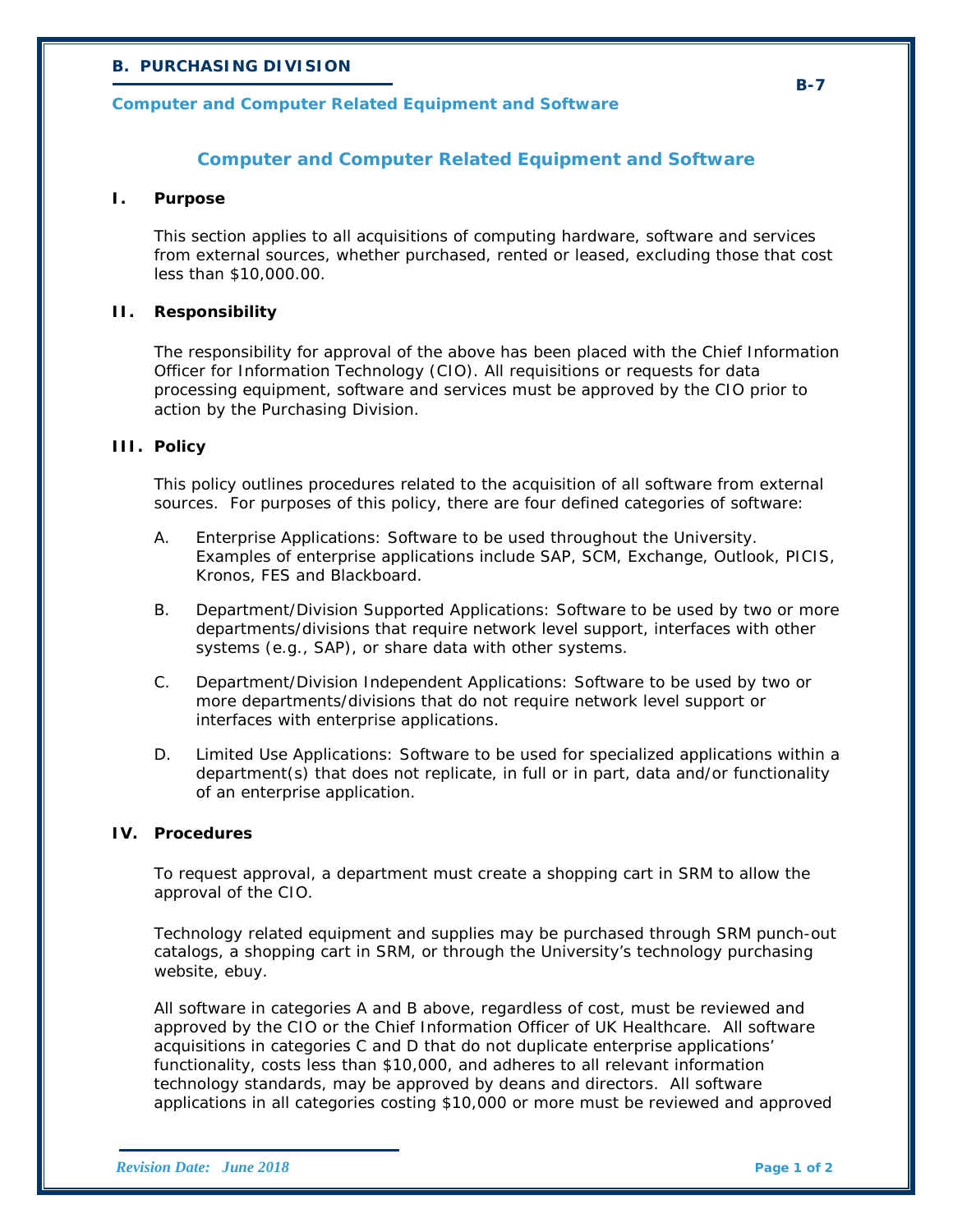## *B. PURCHASING DIVISION*

## *Computer and Computer Related Equipment and Software*

### **Computer and Computer Related Equipment and Software**

#### **I. Purpose**

This section applies to all acquisitions of computing hardware, software and services from external sources, whether purchased, rented or leased, excluding those that cost less than \$10,000.00.

#### **II. Responsibility**

The responsibility for approval of the above has been placed with the Chief Information Officer for Information Technology (CIO). All requisitions or requests for data processing equipment, software and services must be approved by the CIO prior to action by the Purchasing Division.

#### **III. Policy**

This policy outlines procedures related to the acquisition of all software from external sources. For purposes of this policy, there are four defined categories of software:

- A. Enterprise Applications: Software to be used throughout the University. Examples of enterprise applications include SAP, SCM, Exchange, Outlook, PICIS, Kronos, FES and Blackboard.
- B. Department/Division Supported Applications: Software to be used by two or more departments/divisions that require network level support, interfaces with other systems (e.g., SAP), or share data with other systems.
- C. Department/Division Independent Applications: Software to be used by two or more departments/divisions that do not require network level support or interfaces with enterprise applications.
- D. Limited Use Applications: Software to be used for specialized applications within a department(s) that does not replicate, in full or in part, data and/or functionality of an enterprise application.

#### **IV. Procedures**

To request approval, a department must create a shopping cart in SRM to allow the approval of the CIO.

Technology related equipment and supplies may be purchased through SRM punch-out catalogs, a shopping cart in SRM, or through the University's technology purchasing website, ebuy.

All software in categories A and B above, regardless of cost, must be reviewed and approved by the CIO or the Chief Information Officer of UK Healthcare. All software acquisitions in categories C and D that do not duplicate enterprise applications' functionality, costs less than \$10,000, and adheres to all relevant information technology standards, may be approved by deans and directors. All software applications in all categories costing \$10,000 or more must be reviewed and approved